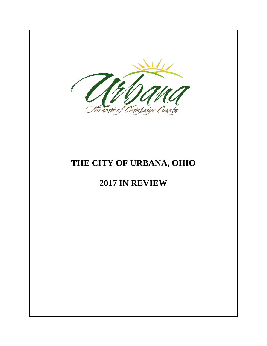

# **THE CITY OF URBANA, OHIO**

# **2017 IN REVIEW**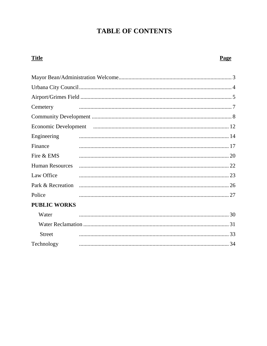# **TABLE OF CONTENTS**

# **Title** Cemetery Engineering  $\frac{14}{2}$ Finance Fire & EMS **Human Resources** Law Office Park & Recreation Police **PUBLIC WORKS**

| Water      |  |
|------------|--|
|            |  |
| Street     |  |
| Technology |  |

### Page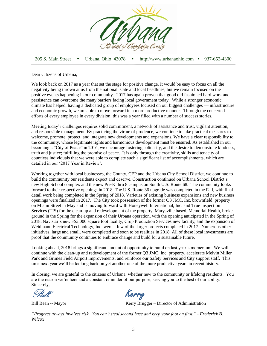

205 S. Main Street Urbana, Ohio 43078 http://www.urbanaohio.com 937-652-4300

Dear Citizens of Urbana,

We look back on 2017 as a year that set the stage for positive change. It would be easy to focus on all the negativity being thrown at us from the national, state and local headlines, but we remain focused on the positive events happening in our community. 2017 has again proven that good old fashioned hard work and persistence can overcome the many barriers facing local government today. While a stronger economic climate has helped, having a dedicated group of employees focused on our biggest challenges — infrastructure and economic growth, we are able to move forward in a more productive manner. Through the concerted efforts of every employee in every division, this was a year filled with a number of success stories.

Meeting today's challenges requires solid commitment, a network of assistance and trust, vigilant attention, and responsible management. By practicing the virtue of prudence, we continue to take practical measures to welcome, promote, protect, and integrate new developments and expansions. We have a clear responsibility to the community, whose legitimate rights and harmonious development must be ensured. As established in our becoming a "City of Peace" in 2016, we encourage fostering solidarity, and the desire to demonstrate kindness, truth and justice; fulfilling the promise of peace. It is only through the creativity, skills and tenacity of countless individuals that we were able to complete such a significant list of accomplishments, which are detailed in our '2017 Year in Review'.

Working together with local businesses, the County, CEP and the Urbana City School District, we continue to build the community our residents expect and deserve. Construction continued on Urbana School District's new High School complex and the new Pre-K thru 8 campus on South U.S. Route 68. The community looks forward to their respective openings in 2018. The U.S. Route 36 upgrade was completed in the Fall, with final detail work being completed in the Spring of 2018. Varieties of existing business expansions and new business openings were finalized in 2017. The City took possession of the former Q3 JMC, Inc. brownfield property on Miami Street in May and is moving forward with Honeywell International, Inc. and True Inspection Services (TIS) for the clean-up and redevelopment of the property. Marysville based, Memorial Health, broke ground in the Spring for the expansion of their Urbana operation, with the opening anticipated in the Spring of 2018. Navistar's new 355,000 square foot facility, Crop Production Services new facility, and the expansion of Weidmann Electrical Technology, Inc. were a few of the larger projects completed in 2017. Numerous other initiatives, large and small, were completed and soon to be realities in 2018. All of these local investments are proof that the community continues to embrace change and build for a sustainable future.

Looking ahead, 2018 brings a significant amount of opportunity to build on last year's momentum. We will continue with the clean-up and redevelopment of the former Q3 JMC, Inc. property, accelerate Melvin Miller Park and Grimes Field Airport improvements, and reinforce our Safety Services and City support staff. This time next year we'll be looking back on yet another one of the more productive years in recent history.

In closing, we are grateful to the citizens of Urbana, whether new to the community or lifelong residents. You are the reason we're here and a constant reminder of our purpose; serving you to the best of our ability. Sincerely,

Kerry

Bill Bean -- Mayor Kerry Brugger – Director of Administration

*"Progress always involves risk. You can't steal second base and keep your foot on first." - Frederick B. Wilcox*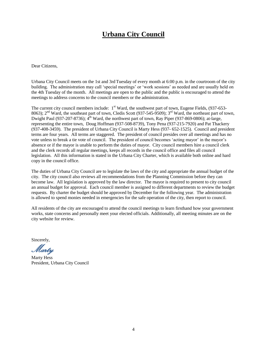# **Urbana City Council**

Dear Citizens,

Urbana City Council meets on the 1st and 3rd Tuesday of every month at 6:00 p.m. in the courtroom of the city building. The administration may call 'special meetings' or 'work sessions' as needed and are usually held on the 4th Tuesday of the month. All meetings are open to the public and the public is encouraged to attend the meetings to address concerns to the council members or the administration.

The current city council members include:  $1<sup>st</sup>$  Ward, the southwest part of town, Eugene Fields, (937-653-8063);  $2<sup>nd</sup>$  Ward, the southeast part of town, Cledis Scott (937-545-9509);  $3<sup>rd</sup>$  Ward, the northeast part of town, Dwight Paul (937-207-8736);  $4^{\text{th}}$  Ward, the northwest part of town, Ray Piper (937-869-0806); at-large, representing the entire town, Doug Hoffman (937-508-8739), Tony Pena (937-215-7920) and Pat Thackery (937-408-3459). The president of Urbana City Council is Marty Hess (937- 652-1525). Council and president terms are four years. All terms are staggered. The president of council presides over all meetings and has no vote unless to break a tie vote of council. The president of council becomes 'acting mayor' in the mayor's absence or if the mayor is unable to perform the duties of mayor. City council members hire a council clerk and the clerk records all regular meetings, keeps all records in the council office and files all council legislation. All this information is stated in the Urbana City Charter, which is available both online and hard copy in the council office.

The duties of Urbana City Council are to legislate the laws of the city and appropriate the annual budget of the city. The city council also reviews all recommendations from the Planning Commission before they can become law. All legislation is approved by the law director. The mayor is required to present to city council an annual budget for approval. Each council member is assigned to different departments to review the budget requests. By charter the budget should be approved by December for the following year. The administration is allowed to spend monies needed in emergencies for the safe operation of the city, then report to council.

All residents of the city are encouraged to attend the council meetings to learn firsthand how your government works, state concerns and personally meet your elected officials. Additionally, all meeting minutes are on the city website for review.

Sincerely,

Marty

Marty Hess President, Urbana City Council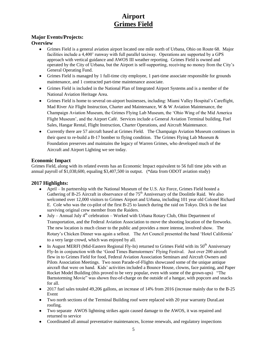# **Airport Grimes Field**

## **Major Events/Projects:**

### **Overview**

- Grimes Field is a general aviation airport located one mile north of Urbana, Ohio on Route 68. Major facilities include a 4,400' runway with full parallel taxiway. Operations are supported by a GPS approach with vertical guidance and AWOS III weather reporting. Grimes Field is owned and operated by the City of Urbana, but the Airport is self-supporting, receiving no money from the City's General Operating Fund.
- Grimes Field is managed by 1 full-time city employee, 1 part-time associate responsible for grounds maintenance, and 1 contracted part-time maintenance associate.
- Grimes Field is included in the National Plan of Integrated Airport Systems and is a member of the National Aviation Heritage Area.
- Grimes Field is home to several on-airport businesses, including: Miami Valley Hospital's Careflight, Mad River Air Flight Instruction, Charter and Maintenance, W & W Aviation Maintenance, the Champaign Aviation Museum, the Grimes Flying Lab Museum, the 'Ohio Wing of the Mid America Flight Museum', and the Airport Café. Services include a General Aviation Terminal building, Fuel Sales, Hangar Rental, Flight Instruction, Charter Operations, and Aircraft Maintenance.
- Currently there are 57 aircraft based at Grimes Field. The Champaign Aviation Museum continues in their quest to re-build a B-17 bomber to flying condition. The Grimes Flying Lab Museum  $\&$ Foundation preserves and maintains the legacy of Warren Grimes, who developed much of the Aircraft and Airport Lighting we see today.

### **Economic Impact**

Grimes Field, along with its related events has an Economic Impact equivalent to 56 full time jobs with an annual payroll of \$1,038,600, equaling \$3,407,500 in output. (\*data from ODOT aviation study)

## **2017 Highlights:**

- April In partnership with the National Museum of the U.S. Air Force, Grimes Field hosted a Gathering of B-25 Aircraft in observance of the  $75<sup>th</sup>$  Anniversary of the Doolittle Raid. We also welcomed over 12,000 visitors to Grimes Airport and Urbana, including 101 year old Colonel Richard E. Cole who was the co-pilot of the first B-25 to launch during the raid on Tokyo. Dick is the last surviving original crew member from the Raiders.
- July Annual July  $4<sup>th</sup>$  celebration Worked with Urbana Rotary Club, Ohio Department of Transportation, and the Federal Aviation Association to move the shooting location of the fireworks. The new location is much closer to the public and provides a more intense, involved show. The Rotary's Chicken Dinner was again a sellout. The Art Council presented the band 'Hotel California' to a very large crowd, which was enjoyed by all.
- In August MERFI (Mid-Eastern Regional Fly-In) returned to Grimes Field with its  $50<sup>th</sup>$  Anniversary Fly-In in conjunction with the 'Good Times Barnstormers' Flying Festival. Just over 200 aircraft flew in to Grimes Field for food, Federal Aviation Association Seminars and Aircraft Owners and Pilots Association Meetings. Two noon Parade-of-Flights showcased some of the unique antique aircraft that were on hand. Kids' activities included a Bounce House, clowns, face painting, and Paper Rocket Model Building (this proved to be very popular, even with some of the grown-ups) "The Barnstorming Movie" was shown free-of-charge on the outside of a hangar, with popcorn and snacks for all.
- 2017 fuel sales totaled 49,206 gallons, an increase of 14% from 2016 (increase mainly due to the B-25 Event
- Two north sections of the Terminal Building roof were replaced with 20 year warranty DuraLast roofing.
- Two separate AWOS lightning strikes again caused damage to the AWOS, it was repaired and returned to service
- Coordinated all annual preventative maintenances, license renewals, and regulatory inspections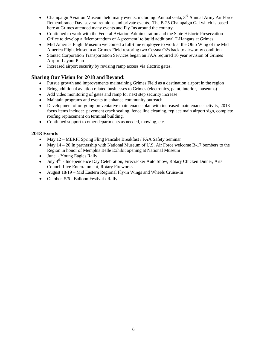- Champaign Aviation Museum held many events, including: Annual Gala,  $3<sup>rd</sup>$  Annual Army Air Force Remembrance Day, several reunions and private events. The B-25 Champaign Gal which is based here at Grimes attended many events and Fly-Ins around the country.
- Continued to work with the Federal Aviation Administration and the State Historic Preservation Office to develop a 'Memorandum of Agreement' to build additional T-Hangars at Grimes.
- Mid America Flight Museum welcomed a full-time employee to work at the Ohio Wing of the Mid America Flight Museum at Grimes Field restoring two Cessna O2s back to airworthy condition.
- Stantec Corporation Transportation Services began an FAA required 10 year revision of Grimes Airport Layout Plan
- Increased airport security by revising ramp access via electric gates.

### **Sharing Our Vision for 2018 and Beyond:**

- Pursue growth and improvements maintaining Grimes Field as a destination airport in the region
- Bring additional aviation related businesses to Grimes (electronics, paint, interior, museums)
- Add video monitoring of gates and ramp for next step security increase
- Maintain programs and events to enhance community outreach.
- Development of on-going preventative maintenance plan with increased maintenance activity, 2018 focus items include: pavement crack sealing, fence line cleaning, replace main airport sign, complete roofing replacement on terminal building.
- Continued support to other departments as needed, mowing, etc.

### **2018 Events**

- May 12 MERFI Spring Fling Pancake Breakfast / FAA Safety Seminar
- May  $14 20$  In partnership with National Museum of U.S. Air Force welcome B-17 bombers to the Region in honor of Memphis Belle Exhibit opening at National Museum
- June Young Eagles Rally
- $\bullet$  July  $4^{\text{th}}$  Independence Day Celebration, Firecracker Auto Show, Rotary Chicken Dinner, Arts Council Live Entertainment, Rotary Fireworks
- August 18/19 Mid Eastern Regional Fly-in Wings and Wheels Cruise-In
- October 5/6 Balloon Festival / Rally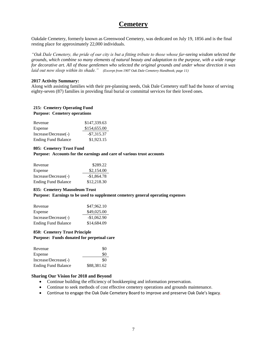# **Cemetery**

Oakdale Cemetery, formerly known as Greenwood Cemetery, was dedicated on July 19, 1856 and is the final resting place for approximately 22,000 individuals.

*"Oak Dale Cemetery, the pride of our city is but a fitting tribute to those whose far-seeing wisdom selected the grounds, which combine so many elements of natural beauty and adaptation to the purpose, with a wide range for decorative art. All of those gentlemen who selected the original grounds and under whose direction it was laid out now sleep within its shade." (Excerpt from 1907 Oak Dale Cemetery Handbook; page 11)*

#### **2017 Activity Summary:**

Along with assisting families with their pre-planning needs, Oak Dale Cemetery staff had the honor of serving eighty-seven (87) families in providing final burial or committal services for their loved ones.

#### **215: Cemetery Operating Fund Purpose: Cemetery operations**

| Revenue                    | \$147,339.63 |
|----------------------------|--------------|
| Expense                    | \$154,655.00 |
| Increase/Decrease(-)       | $-$7,315.37$ |
| <b>Ending Fund Balance</b> | \$1,923.15   |

#### **805: Cemetery Trust Fund**

#### **Purpose: Accounts for the earnings and care of various trust accounts**

| Revenue                    | \$289.22     |
|----------------------------|--------------|
| Expense                    | \$2,154.00   |
| Increase/Decrease(-)       | $-$1.864.78$ |
| <b>Ending Fund Balance</b> | \$12,218.30  |

#### **835: Cemetery Mausoleum Trust**

**Purpose: Earnings to be used to supplement cemetery general operating expenses**

| Revenue                    | \$47,962.10  |
|----------------------------|--------------|
| Expense                    | \$49,025.00  |
| Increase/Decrease(-)       | $-$1,062.90$ |
| <b>Ending Fund Balance</b> | \$14,684.09  |

#### **850: Cemetery Trust Principle Purpose: Funds donated for perpetual care**

| Revenue                    | \$0         |
|----------------------------|-------------|
| Expense                    | \$0         |
| Increase/Decrease(-)       | \$0         |
| <b>Ending Fund Balance</b> | \$88,381.62 |

- Continue building the efficiency of bookkeeping and information preservation.
- Continue to seek methods of cost effective cemetery operations and grounds maintenance.
- Continue to engage the Oak Dale Cemetery Board to improve and preserve Oak Dale's legacy.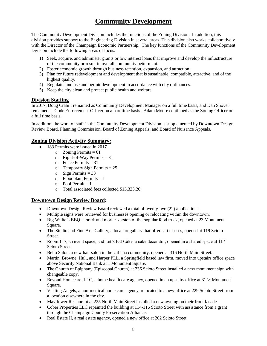# **Community Development**

The Community Development Division includes the functions of the Zoning Division. In addition, this division provides support to the Engineering Division in several areas. This division also works collaboratively with the Director of the Champaign Economic Partnership. The key functions of the Community Development Division include the following areas of focus:

- 1) Seek, acquire, and administer grants or low interest loans that improve and develop the infrastructure of the community or result in overall community betterment.
- 2) Foster economic growth through business retention, expansion, and attraction.
- 3) Plan for future redevelopment and development that is sustainable, compatible, attractive, and of the highest quality.
- 4) Regulate land use and permit development in accordance with city ordinances.
- 5) Keep the city clean and protect public health and welfare.

### **Division Staffing**

In 2017, Doug Crabill remained as Community Development Manager on a full time basis, and Dan Shover remained as Code Enforcement Officer on a part time basis. Adam Moore continued as the Zoning Officer on a full time basis.

In addition, the work of staff in the Community Development Division is supplemented by Downtown Design Review Board, Planning Commission, Board of Zoning Appeals, and Board of Nuisance Appeals.

### **Zoning Division Activity Summary:**

- 183 Permits were issued in 2017
	- $\circ$  Zoning Permits = 61
	- $\circ$  Right-of-Way Permits = 31
	- $\circ$  Fence Permits = 31
	- $\circ$  Temporary Sign Permits = 25
	- $\circ$  Sign Permits = 33
	- $\circ$  Floodplain Permits = 1
	- $\circ$  Pool Permit = 1
	- o Total associated fees collected \$13,323.26

### **Downtown Design Review Board:**

- Downtown Design Review Board reviewed a total of twenty-two (22) applications.
- Multiple signs were reviewed for businesses opening or relocating within the downtown.
- Big Willie's BBQ, a brick and mortar version of the popular food truck, opened at 23 Monument Square.
- The Studio and Fine Arts Gallery, a local art gallery that offers art classes, opened at 119 Scioto Street.
- Room 117, an event space, and Let's Eat Cake, a cake decorator, opened in a shared space at 117 Scioto Street.
- Bello Salon, a new hair salon in the Urbana community, opened at 316 North Main Street.
- Martin, Browne, Hull, and Harper PLL, a Springfield based law firm, moved into upstairs office space above Security National Bank at 1 Monument Square.
- The Church of Epiphany (Episcopal Church) at 236 Scioto Street installed a new monument sign with changeable copy.
- Beyond Homecare, LLC, a home health care agency, opened in an upstairs office at  $31 \frac{1}{2}$  Monument Square.
- Visiting Angels, a non-medical home care agency, relocated to a new office at 229 Scioto Street from a location elsewhere in the city.
- Mayflower Restaurant at 225 North Main Street installed a new awning on their front facade.
- Cober Properties LLC repainted the building at 114-116 Scioto Street with assistance from a grant through the Champaign County Preservation Alliance.
- Real Estate II, a real estate agency, opened a new office at 202 Scioto Street.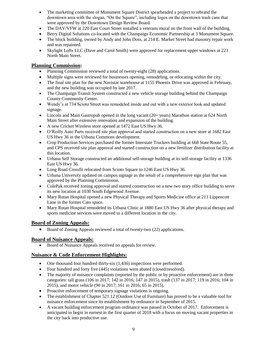- The marketing committee of Monument Square District spearheaded a project to rebrand the downtown area with the slogan, "On the Square", including logos on the downtown trash cans that were approved by the Downtown Design Review Board.
- The DAV/VFW at 220 East Court Street installed a veterans mural on the front wall of the building.
- Berry Digital Solutions co-located with the Champaign Economic Partnership at 3 Monument Square.
- The block building, owned by Andy and John Doss, at 214 E. Market Street had masonry repair work and was repainted.
- Skylight Lofts LLC (Dave and Carol Smith) were approved for replacement upper windows at 223 North Main Street.

### **Planning Commission:**

- Planning Commission reviewed a total of twenty-eight (28) applications.
- Multiple signs were reviewed for businesses opening, remodeling, or relocating within the city.
- The final site plan for the new Navistar warehouse at 1155 Phoenix Drive was approved in February, and the new building was occupied by late 2017.
- The Champaign Transit System constructed a new vehicle storage building behind the Champaign County Community Center.
- Wendy's at 734 Scioto Street was remodeled inside and out with a new exterior look and updated signage.
- Lincoln and Main Gastropub opened in the long vacant (20+ years) Marathon station at 624 North Main Street after extensive renovation and expansion of the building.
- A new Cricket Wireless store opened at 1472 East US Hwy 36.
- O'Reilly Auto Parts received site plan approval and started construction on a new store at 1682 East US Hwy 36 in the Urbana Commons development.
- Crop Production Services purchased the former Interstate Truckers building at 668 State Route 55, and CPS received site plan approval and started construction on a new fertilizer distribution facility at this location.
- Urbana Self Storage constructed an additional self-storage building at its self-storage facility at 1336 East US Hwy 36.
- Long Road Crossfit relocated from Scioto Square to 1246 East US Hwy 36.
- Urbana University updated on campus signage as the result of a comprehensive sign plan that was approved by the Planning Commission.
- ColePak received zoning approval and started construction on a new two story office building to serve its new location at 1030 South Edgewood Avenue.
- Mary Rutan Hospital opened a new Physical Therapy and Sports Medicine office at 211 Lippencott Lane in the former Cato space.
- Mary Rutan Hospital remodeled its Urbana Clinic at 1880 East US Hwy 36 after physical therapy and sports medicine services were moved to a different location in the city.

### **Board of Zoning Appeals:**

• Board of Zoning Appeals reviewed a total of twenty-two (22) applications.

### **Board of Nuisance Appeals:**

Board of Nuisance Appeals received no appeals for review.

### **Nuisance & Code Enforcement Highlights:**

- One thousand four hundred thirty-six (1,436) inspections were performed.
- Four hundred and forty five (445) violations were abated (closed/resolved).
- The majority of nuisance complaints (reported by the public or by proactive enforcement) are in three categories: tall grass (106 in 2017; 142 in 2016; 147 in 2015), trash (137 in 2017; 119 in 2016; 104 in 2015), and motor vehicle (90 in 2017; 161 in 2016; 65 in 2015).
- Proactive enforcement of temporary signage violations is ongoing.
- The establishment of Chapter 521.12 (Outdoor Use of Furniture) has proved to be a valuable tool for nuisance enforcement since its establishment by ordinance in September of 2015.
- A vacant building enforcement program ordinance was passed in October of 2017. Enforcement is anticipated to begin in earnest in the first quarter of 2018 with a focus on moving vacant properties in the city back into productive use.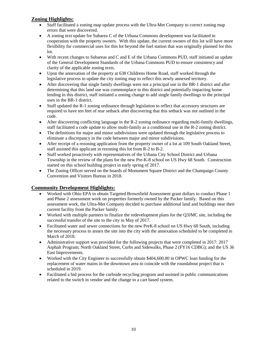### **Zoning Highlights:**

- Staff facilitated a zoning map update process with the Ultra-Met Company to correct zoning map errors that were discovered.
- A zoning text update for Subarea C of the Urbana Commons development was facilitated in cooperation with the property owners. With this update, the current owners of this lot will have more flexibility for commercial uses for this lot beyond the fuel station that was originally planned for this lot.
- With recent changes to Subareas and C and E of the Urbana Commons PUD, staff initiated an update of the General Development Standards of the Urbana Commons PUD to ensure consistency and clarity of the applicable zoning texts.
- Upon the annexation of the property at 638 Childrens Home Road, staff worked through the legislative process to update the city zoning map to reflect this newly annexed territory.
- After discovering that single family dwellings were not a principal use in the BR-1 district and after determining that this land use was commonplace in this district and potentially impacting home lending in this district, staff initiated a zoning change to add single family dwellings to the principal uses in the BR-1 district.
- Staff updated the R-1 zoning ordinance through legislation to reflect that accessory structures are required to have ten feet of rear setback after discovering that this setback was not outlined in the code.
- After discovering conflicting language in the R-2 zoning ordinance regarding multi-family dwellings, staff facilitated a code update to allow multi-family as a conditional use in the R-2 zoning district.
- The definitions for major and minor subdivisions were updated through the legislative process to eliminate a discrepancy in the code between major and minor subdivisions.
- After receipt of a rezoning application from the property owner of a lot at 109 South Oakland Street, staff assisted this applicant in rezoning this lot from R-2 to B-2.
- Staff worked proactively with representatives of the Urbana City School District and Urbana Township in the review of the plans for the new Pre-K-8 school on US Hwy 68 South. Construction started on this school building project in early spring of 2017.
- The Zoning Officer served on the boards of Monument Square District and the Champaign County Convention and Visitors Bureau in 2018.

### **Community Development Highlights:**

- Worked with Ohio EPA to obtain Targeted Brownfield Assessment grant dollars to conduct Phase 1 and Phase 2 assessment work on properties formerly owned by the Packer family. Based on this assessment work, the Ultra-Met Company decided to purchase additional land and buildings near their current facility from the Packer family.
- Worked with multiple partners to finalize the redevelopment plans for the Q3JMC site, including the successful transfer of the site to the city in May of 2017.
- Facilitated water and sewer connections for the new PreK-8 school on US Hwy 68 South, including the necessary process to annex the site into the city with the annexation scheduled to be completed in March of 2018.
- Administrative support was provided for the following projects that were completed in 2017: 2017 Asphalt Program; North Oakland Street, Curbs and Sidewalks, Phase 2 (FY16 CDBG); and the US 36 East Improvements.
- Worked with the City Engineer to successfully obtain \$404,600.00 in OPWC loan funding for the replacement of water mains in the downtown area to coincide with the roundabout project that is scheduled in 2019.
- Facilitated a bid process for the curbside recycling program and assisted in public communications related to the switch in vendor and the change to a cart based system.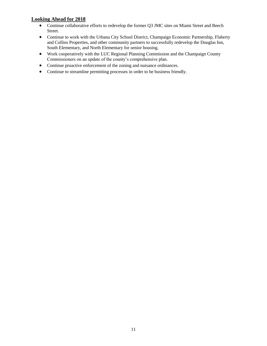### **Looking Ahead for 2018**

- Continue collaborative efforts to redevelop the former Q3 JMC sites on Miami Street and Beech Street.
- Continue to work with the Urbana City School District, Champaign Economic Partnership, Flaherty and Collins Properties, and other community partners to successfully redevelop the Douglas Inn, South Elementary, and North Elementary for senior housing.
- Work cooperatively with the LUC Regional Planning Commission and the Champaign County Commissioners on an update of the county's comprehensive plan.
- Continue proactive enforcement of the zoning and nuisance ordinances.
- Continue to streamline permitting processes in order to be business friendly.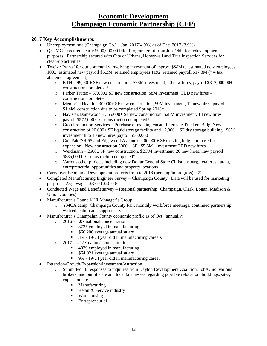# **Economic Development Champaign Economic Partnership (CEP)**

### **2017 Key Accomplishments:**

- Unemployment rate (Champaign Co.) Jan.  $2017(4.9%)$  as of Dec.  $2017(3.9%)$
- Q3 JMC secured nearly \$900,000.00 Pilot Program grant from JobsOhio for redevelopment purposes. Partnership secured with City of Urbana, Honeywell and True Inspection Services for clean-up activities
- Twelve "wins" for our community involving investment of approx.  $$88M<sub>±</sub>}$ , estimated new employees 100±, estimated new payroll \$5.3M, retained employees 1192, retained payroll \$17.3M (\* = tax abatement agreement)
	- $\circ$  KTH 99,000± SF new construction, \$28M investment, 20 new hires, payroll \$812,000.00± construction completed\*
	- $\circ$  Parker Trutec 57,000± SF new construction, \$8M investment, TBD new hires construction completed
	- $\circ$  Memorial Health 30,000± SF new construction, \$9M investment, 12 new hires, payroll \$1.4M construction due to be completed Spring 2018\*
	- o Navistar/Damewood 355,000± SF new construction, \$28M investment, 13 new hires, payroll \$572,000.00 – construction completed\*
	- o Crop Production Services Purchase of existing vacant Interstate Truckers Bldg. New construction of 20,000± SF liquid storage facility and  $12,000\pm$  SF dry storage building. \$6M investment 8 to 10 new hires payroll  $$500,000<sub>±</sub>$
	- o ColePak (SR 55 and Edgewood Avenue)- 200,000± SF existing bldg. purchase for expansion. New construction  $5000 \pm S$ F. \$5.6M $\pm$  investment TBD new hires
	- $\circ$  Weidmann 2600± SF new construction, \$2.7M investment, 20 new hires, new payroll  $$835,000.00$  – construction completed\*
	- o Various other projects including new Dollar General Store Christiansburg, retail/restaurant, entrepreneurial opportunities and property locations
- Carry over Economic Development projects from to 2018 (pending/in progress) 22
- Completed Manufacturing Engineer Survey Champaign County. Data will be used for marketing purposes. Avg. wage - \$37.00-\$40.00/hr.
- Conducted Wage and Benefit survey Regional partnership (Champaign, Clark, Logan, Madison  $\&$ Union counties)
- Manufacturer's Council/HR Manager's Group
	- o YMCA camp, Champaign County Fair, monthly workforce meetings, continued partnership with education and support services
- Manufacturer's Champaign County economic profile as of Oct. (annually)
	- o 2016 4.0x national concentration
		- 3725 employed in manufacturing
		- \$66,200 average annual salary
		- <sup>3</sup>% 19-24 year old in manufacturing careers
	- o 2017 4.15x national concentration
		- 4029 employed in manufacturing
		- \$64,021 average annual salary
		- 9% 19-24 year old in manufacturing career
- Retention/Growth/Expansion/Investment/Attraction
	- o Submitted 10 responses to inquiries from Dayton Development Coalition, JobsOhio, various brokers, and out of state and local businesses regarding possible relocation, buildings, sites, expansion etc.
		- **Manufacturing**
		- Retail  $&$  Service industry
		- Warehousing
		- **Entrepreneurial**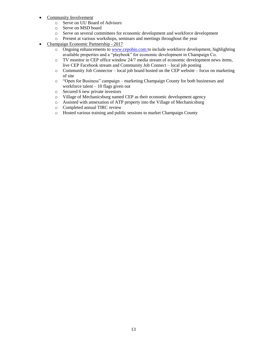- Community Involvement
	- o Serve on UU Board of Advisors
	- o Serve on MSD board
	- o Serve on several committees for economic development and workforce development
	- o Present at various workshops, seminars and meetings throughout the year
- Champaign Economic Partnership 2017
	- o Ongoing enhancements to [www.cepohio.com](http://www.cepohio.com/) to include workforce development, highlighting available properties and a "playbook" for economic development in Champaign Co.
	- o TV monitor in CEP office window 24/7 media stream of economic development news items, live CEP Facebook stream and Community Job Connect – local job posting
	- o Community Job Connector local job board hosted on the CEP website focus on marketing of site
	- o "Open for Business" campaign marketing Champaign County for both businesses and workforce talent – 10 flags given out
	- o Secured 6 new private investors
	- o Village of Mechanicsburg named CEP as their economic development agency
	- o Assisted with annexation of ATP property into the Village of Mechanicsburg
	- o Completed annual TIRC review
	- o Hosted various training and public sessions to market Champaign County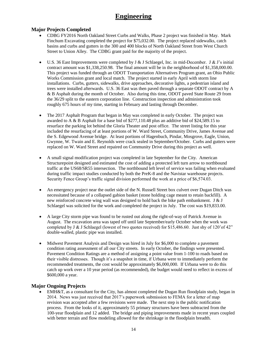# **Engineering**

### **Major Projects Completed**

- CDBG FY2016 North Oakland Street Curbs and Walks, Phase 2 project was finished in May. Mark Finchum Excavating completed the project for \$75,032.00. The project replaced sidewalks, catch basins and curbs and gutters in the 300 and 400 blocks of North Oakland Street from West Church Street to Union Alley. The CDBG grant paid for the majority of the project.
- U.S. 36 East Improvements were completed by J & J Schlaegel, Inc. in mid-December. J & J's initial contract amount was \$1,338,250.98. The final amount will be in the neighborhood of \$1,358,000.00. This project was funded through an ODOT Transportation Alternatives Program grant, an Ohio Public Works Commission grant and local match. The project started in early April with storm line installations. Curbs, gutters, sidewalks, drive approaches, decorative lights, a pedestrian island and trees were installed afterwards. U.S. 36 East was then paved through a separate ODOT contract by A & B Asphalt during the month of October. Also during this time, ODOT paved State Route 29 from the 36/29 split to the eastern corporation line. Construction inspection and administration took roughly 675 hours of my time, starting in February and lasting through December.
- The 2017 Asphalt Program that began in May was completed in early October. The project was awarded to A & B Asphalt for a base bid of \$277,110.48 plus an additive bid of \$24,589.15 to resurface the parking lot behind the Gloria Theater and post office. The street listing for this year included the resurfacing of at least portions of W. Ward Street, Community Drive, James Avenue and the S. Edgewood Avenue bridge. At least portions of Hagenbuch, Pindar, Mosgrove, Eagle, Union, Gwynne, W. Twain and E. Reynolds were crack sealed in September/October. Curbs and gutters were replaced on W. Ward Street and repaired on Community Drive during this project as well.
- A small signal modification project was completed in late September for the City. American Structurepoint designed and estimated the cost of adding a protected left turn arrow to northbound traffic at the US68/SR55 intersection. The northbound left level of service was failing when evaluated during traffic impact studies conducted by both the PreK-8 and the Navistar warehouse projects. Security Fence Group's traffic signal division performed the work at a price of \$6,574.03.
- An emergency project near the outlet side of the N. Russell Street box culvert over Dugan Ditch was necessitated because of a collapsed gabion basket (stone holding cage meant to retain backfill). A new reinforced concrete wing wall was designed to hold back the bike path embankment. J & J Schlaegel was solicited for the work and completed the project in July. The cost was \$19,833.00.
- A large City storm pipe was found to be rusted out along the right-of-way of Patrick Avenue in August. The excavation area was taped off until late September/early October when the work was completed by J & J Schlaegel (lowest of two quotes received) for \$15,486.60. Just shy of 120'of 42" double-walled, plastic pipe was installed.
- Midwest Pavement Analysis and Design was hired in July for \$6,000 to complete a pavement condition rating assessment of all our City streets. In early October, the findings were presented. Pavement Condition Ratings are a method of assigning a point value from 1-100 to roads based on their visible distresses. Though it's a snapshot in time, if Urbana were to immediately perform the recommended treatments, the cost would be approximately \$6,000,000. If Urbana were to do this catch up work over a 10 year period (as recommended), the budget would need to reflect in excess of \$600,000 a year.

### **Major Ongoing Projects**

 EMH&T, as a consultant for the City, has almost completed the Dugan Run floodplain study, began in 2014. News was just received that 2017's paperwork submission to FEMA for a letter of map revision was accepted after a few revisions were made. The next step is the public notification process. From the looks of it, approximately 55 primary structures have been subtracted from the 100-year floodplain and 12 added. The bridge and piping improvements made in recent years coupled with better terrain and flow modeling allowed for the shrinkage in the floodplain breadth.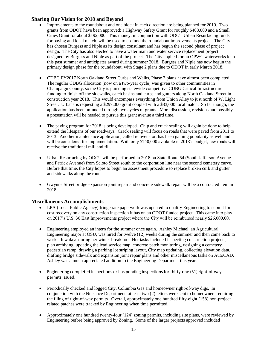### **Sharing Our Vision for 2018 and Beyond**

- Improvements to the roundabout and one block in each direction are being planned for 2019. Two grants from ODOT have been approved: a Highway Safety Grant for roughly \$408,000 and a Small Cities Grant for about \$192,000. This money, in conjunction with ODOT Urban Resurfacing funds for paving and local match, will be used to co-fund the roundabout improvements project. The City has chosen Burgess and Niple as its design consultant and has begun the second phase of project design. The City has also elected to have a water main and water service replacement project designed by Burgess and Niple as part of the project. The City applied for an OPWC waterworks loan this past summer and anticipates award during summer 2018. Burgess and Niple has now begun the primary design phase for the roundabout, with Stage 2 plans due to ODOT in early March 2018.
- CDBG FY2017 North Oakland Street Curbs and Walks, Phase 3 plans have almost been completed. The regular CDBG allocation (now on a two-year cycle) was given to other communities in Champaign County, so the City is pursuing statewide competitive CDBG Critical Infrastructure funding to finish off the sidewalks, catch basins and curbs and gutters along North Oakland Street in construction year 2018. This would encompass everything from Union Alley to just north of W. Light Street. Urbana is requesting a \$297,000 grant coupled with a \$33,000 local match. So far though, the application has been unfunded through two cycles of grants. More discussion, revisions and possibly a presentation will be needed to pursue this grant avenue a third time.
- The paving program for 2018 is being developed. Chip and crack sealing will again be done to help extend the lifespans of our roadways. Crack sealing will focus on roads that were paved from 2011 to 2013. Another maintenance application, called rejuvenator, has been gaining popularity as well and will be considered for implementation. With only \$250,000 available in 2018's budget, few roads will receive the traditional mill and fill.
- Urban Resurfacing by ODOT will be performed in 2018 on State Route 54 (South Jefferson Avenue and Patrick Avenue) from Scioto Street south to the corporation line near the second cemetery curve. Before that time, the City hopes to begin an assessment procedure to replace broken curb and gutter and sidewalks along the route.
- Gwynne Street bridge expansion joint repair and concrete sidewalk repair will be a contracted item in 2018.

### **Miscellaneous Accomplishments**

- LPA (Local Public Agency) fringe rate paperwork was updated to qualify Engineering to submit for cost recovery on any construction inspection it has on an ODOT funded project. This came into play on 2017's U.S. 36 East Improvements project where the City will be reimbursed nearly \$26,000.00.
- Engineering employed an intern for the summer once again. Ashley Michael, an Agricultural Engineering major at OSU, was hired for twelve (12) weeks during the summer and then came back to work a few days during her winter break too. Her tasks included inspecting construction projects, plan archiving, updating the lead service map, concrete patch monitoring, designing a cemetery pedestrian ramp, drawing a parking lot striping layout, City map updating, collecting elevation data, drafting bridge sidewalk and expansion joint repair plans and other miscellaneous tasks on AutoCAD. Ashley was a much appreciated addition to the Engineering Department this year.
- Engineering completed inspections or has pending inspections for thirty-one (31) right-of-way permits issued.
- Periodically checked and logged City, Columbia Gas and homeowner right-of-way digs. In conjunction with the Nuisance Department, at least two (2) letters were sent to homeowners requiring the filing of right-of-way permits. Overall, approximately one hundred fifty-eight (158) non-project related patches were tracked by Engineering when time permitted.
- Approximately one hundred twenty-four (124) zoning permits, including site plans, were reviewed by Engineering before being approved by Zoning. Some of the larger projects approved included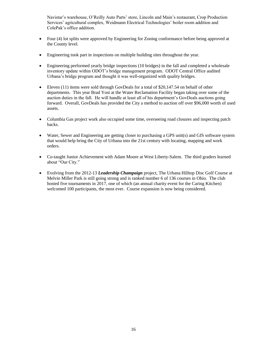Navistar's warehouse, O'Reilly Auto Parts' store, Lincoln and Main's restaurant, Crop Production Services' agricultural complex, Weidmann Electrical Technologies' boiler room addition and ColePak's office addition.

- Four (4) lot splits were approved by Engineering for Zoning conformance before being approved at the County level.
- Engineering took part in inspections on multiple building sites throughout the year.
- Engineering performed yearly bridge inspections (10 bridges) in the fall and completed a wholesale inventory update within ODOT's bridge management program. ODOT Central Office audited Urbana's bridge program and thought it was well-organized with quality bridges.
- Eleven (11) items were sold through GovDeals for a total of \$20,147.54 on behalf of other departments. This year Brad Yost at the Water Reclamation Facility began taking over some of the auction duties in the fall. He will handle at least all of his department's GovDeals auctions going forward. Overall, GovDeals has provided the City a method to auction off over \$96,000 worth of used assets.
- Columbia Gas project work also occupied some time, overseeing road closures and inspecting patch backs.
- Water, Sewer and Engineering are getting closer to purchasing a GPS unit(s) and GIS software system that would help bring the City of Urbana into the 21st century with locating, mapping and work orders.
- Co-taught Junior Achievement with Adam Moore at West Liberty-Salem. The third graders learned about "Our City."
- Evolving from the 2012-13 *Leadership Champaign* project, The Urbana Hilltop Disc Golf Course at Melvin Miller Park is still going strong and is ranked number 6 of 136 courses in Ohio. The club hosted five tournaments in 2017, one of which (an annual charity event for the Caring Kitchen) welcomed 100 participants, the most ever. Course expansion is now being considered.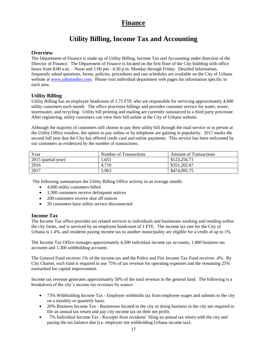# **Finance**

# **Utility Billing, Income Tax and Accounting**

### **Overview**

The Department of Finance is made up of Utility Billing, Income Tax and Accounting under direction of the Director of Finance. The Department of Finance is located on the first floor of the City building with office hours from 8:00 a.m. – Noon and 1:00 pm - 4:30 p.m. Monday through Friday. Detailed information, frequently asked questions, forms, policies, procedures and rate schedules are available on the City of Urbana website at [www.urbanaohio.com.](http://www.urbanaohio.com/) Please visit individual department web pages for information specific to each area.

### **Utility Billing**

Utility Billing has an employee headcount of 1.75 FTE who are responsible for servicing approximately 4,600 utility customers each month. The office processes billings and provides customer service for water, sewer, stormwater, and recycling. Utility bill printing and mailing are currently outsourced to a third party processor. After registering, utility customers can view their bill online at the City of Urbana website.

Although the majority of customers still choose to pay their utility bill through the mail service or in person at the Utility Office window, the option to pay online or by telephone are gaining in popularity. 2017 marks the second full year that the City has offered credit card and online payments. This service has been welcomed by our customers as evidenced by the number of transactions.

| Year                | Number of Transactions | <b>Amount of Transactions</b> |
|---------------------|------------------------|-------------------------------|
| 2015 (partial year) | 1.651                  | \$123,256.71                  |
| 2016                | 4.710                  | \$351,202.67                  |
| 2017                | 5.963                  | \$474,095.75                  |

The following summarizes the Utility Billing Office activity in an average month:

- 4,600 utility customers billed
- 1,300 customers receive delinquent notices
- 200 customers receive shut off notices
- 20 customers have utility service disconnected

### **Income Tax**

The Income Tax office provides tax related services to individuals and businesses working and residing within the city limits, and is serviced by an employee headcount of 1 FTE. The income tax rate for the City of Urbana is 1.4%, and residents paying income tax to another municipality are eligible for a credit of up to 1%.

The Income Tax Office manages approximately 4,500 individual income tax accounts, 1,000 business tax accounts and 1,300 withholding accounts

The General Fund receives 1% of the income tax and the Police and Fire Income Tax Fund receives .4%. By City Charter, each fund is required to use 75% of tax revenue for operating expenses and the remaining 25% earmarked for capital improvement.

Income tax revenue generates approximately 50% of the total revenue in the general fund. The following is a breakdown of the city's income tax revenues by source:

- 73% Withholding Income Tax Employer withholds tax from employee wages and submits to the city on a monthly or quarterly basis.
- 20% Business Income Tax Businesses located in the city or doing business in the city are required to file an annual tax return and pay city income tax on their net profit.
- 7% Individual Income Tax Receipts from residents' filing an annual tax return with the city and paying the tax balance due (i.e. employer not withholding Urbana income tax).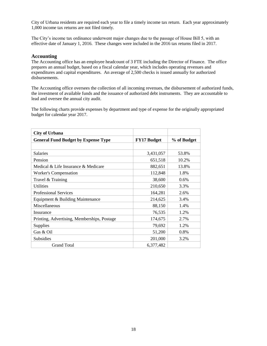City of Urbana residents are required each year to file a timely income tax return. Each year approximately 1,000 income tax returns are not filed timely.

The City's income tax ordinance underwent major changes due to the passage of House Bill 5, with an effective date of January 1, 2016. These changes were included in the 2016 tax returns filed in 2017.

#### **Accounting**

The Accounting office has an employee headcount of 3 FTE including the Director of Finance. The office prepares an annual budget, based on a fiscal calendar year, which includes operating revenues and expenditures and capital expenditures. An average of 2,500 checks is issued annually for authorized disbursements.

The Accounting office oversees the collection of all incoming revenues, the disbursement of authorized funds, the investment of available funds and the issuance of authorized debt instruments. They are accountable to lead and oversee the annual city audit.

The following charts provide expenses by department and type of expense for the originally appropriated budget for calendar year 2017.

| <b>City of Urbana</b>                       |                    |             |
|---------------------------------------------|--------------------|-------------|
| <b>General Fund Budget by Expense Type</b>  | <b>FY17 Budget</b> | % of Budget |
|                                             |                    |             |
| <b>Salaries</b>                             | 3,431,057          | 53.8%       |
| Pension                                     | 651,518            | 10.2%       |
| Medical & Life Insurance & Medicare         | 882,651            | 13.8%       |
| Worker's Compensation                       | 112,848            | 1.8%        |
| Travel & Training                           | 38,600             | $0.6\%$     |
| <b>Utilities</b>                            | 210,650            | 3.3%        |
| <b>Professional Services</b>                | 164,281            | 2.6%        |
| Equipment & Building Maintenance            | 214,625            | 3.4%        |
| Miscellaneous                               | 88,150             | 1.4%        |
| Insurance                                   | 76,535             | 1.2%        |
| Printing, Advertising, Memberships, Postage | 174,675            | 2.7%        |
| <b>Supplies</b>                             | 79,692             | 1.2%        |
| Gas & Oil                                   | 51,200             | 0.8%        |
| Subsidies                                   | 201,000            | 3.2%        |
| <b>Grand Total</b>                          | 6,377,482          |             |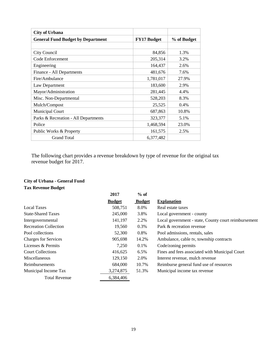| <b>City of Urbana</b>                    |                    |             |
|------------------------------------------|--------------------|-------------|
| <b>General Fund Budget by Department</b> | <b>FY17 Budget</b> | % of Budget |
|                                          |                    |             |
| City Council                             | 84,856             | 1.3%        |
| Code Enforcement                         | 205,314            | 3.2%        |
| Engineering                              | 164,437            | 2.6%        |
| Finance - All Departments                | 481,676            | 7.6%        |
| Fire/Ambulance                           | 1,781,017          | 27.9%       |
| Law Department                           | 183,600            | 2.9%        |
| Mayor/Administration                     | 281,445            | 4.4%        |
| Misc. Non-Departmental                   | 528,203            | 8.3%        |
| Mulch/Compost                            | 25,525             | 0.4%        |
| <b>Municipal Court</b>                   | 687,863            | 10.8%       |
| Parks & Recreation - All Departments     | 323,377            | 5.1%        |
| Police                                   | 1,468,594          | 23.0%       |
| Public Works & Property                  | 161,575            | 2.5%        |
| <b>Grand Total</b>                       | 6,377,482          |             |

The following chart provides a revenue breakdown by type of revenue for the original tax revenue budget for 2017.

# **City of Urbana - General Fund**

**Tax Revenue Budget**

|                              | 2017          | $%$ of        |                                                      |
|------------------------------|---------------|---------------|------------------------------------------------------|
|                              | <b>Budget</b> | <b>Budget</b> | <b>Explanation</b>                                   |
| <b>Local Taxes</b>           | 508,751       | 8.0%          | Real estate taxes                                    |
| <b>State-Shared Taxes</b>    | 245,000       | 3.8%          | Local government - county                            |
| Intergovernmental            | 141,197       | 2.2%          | Local government - state, County court reimbursement |
| <b>Recreation Collection</b> | 19,560        | 0.3%          | Park & recreation revenue                            |
| Pool collections             | 52,300        | 0.8%          | Pool admissions, rentals, sales                      |
| <b>Charges for Services</b>  | 905,698       | 14.2%         | Ambulance, cable tv, township contracts              |
| Licenses & Permits           | 7,250         | 0.1%          | Code/zoning permits                                  |
| <b>Court Collections</b>     | 416,625       | 6.5%          | Fines and fees associated with Municipal Court       |
| Miscellaneous                | 129,150       | 2.0%          | Interest revenue, mulch revenue                      |
| Reimbursements               | 684,000       | 10.7%         | Reimburse general fund use of resources              |
| Municipal Income Tax         | 3,274,875     | 51.3%         | Municipal income tax revenue                         |
| <b>Total Revenue</b>         | 6,384,406     |               |                                                      |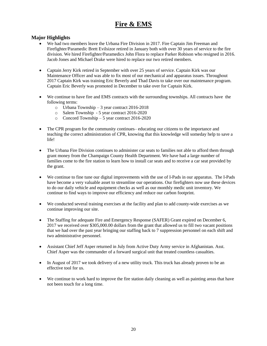# **Fire & EMS**

### **Major Highlights**

- We had two members leave the Urbana Fire Division in 2017. Fire Captain Jim Freeman and Firefighter/Paramedic Brett Evilsizor retired in January both with over 30 years of service to the fire division. We hired Firefighter/Paramedics John Flora to replace Parker Robison who resigned in 2016. Jacob Jones and Michael Drake were hired to replace our two retired members.
- Captain Jerry Kirk retired in September with over 25 years of service. Captain Kirk was our Maintenance Officer and was able to fix most of our mechanical and apparatus issues. Throughout 2017 Captain Kirk was training Eric Beverly and Thad Davis to take over our maintenance program. Captain Eric Beverly was promoted in December to take over for Captain Kirk.
- We continue to have fire and EMS contracts with the surrounding townships. All contracts have the following terms:
	- o Urbana Township 3 year contract 2016-2018
	- o Salem Township 5 year contract 2016-2020
	- o Concord Township 5 year contract 2016-2020
- The CPR program for the community continues– educating our citizens to the importance and teaching the correct administration of CPR, knowing that this knowledge will someday help to save a life!
- The Urbana Fire Division continues to administer car seats to families not able to afford them through grant money from the Champaign County Health Department. We have had a large number of families come to the fire station to learn how to install car seats and to receive a car seat provided by the grant.
- We continue to fine tune our digital improvements with the use of I-Pads in our apparatus. The I-Pads have become a very valuable asset to streamline our operations. Our firefighters now use these devices to do our daily vehicle and equipment checks as well as our monthly medic unit inventory. We continue to find ways to improve our efficiency and reduce our carbon footprint.
- We conducted several training exercises at the facility and plan to add county-wide exercises as we continue improving our site.
- The Staffing for adequate Fire and Emergency Response (SAFER) Grant expired on December 6, 2017 we received over \$305,000.00 dollars from the grant that allowed us to fill two vacant positions that we had over the past year bringing our staffing back to 7 suppression personnel on each shift and two administrative personnel.
- Assistant Chief Jeff Asper returned in July from Active Duty Army service in Afghanistan. Asst. Chief Asper was the commander of a forward surgical unit that treated countless casualties.
- In August of 2017 we took delivery of a new utility truck. This truck has already proven to be an effective tool for us.
- We continue to work hard to improve the fire station daily cleaning as well as painting areas that have not been touch for a long time.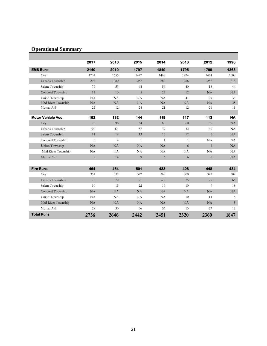## **Operational Summary**

|                           | 2017           | 2016           | 2015         | 2014         | 2013         | 2012 | 1996      |
|---------------------------|----------------|----------------|--------------|--------------|--------------|------|-----------|
| <b>EMS Runs</b>           | 2140           | 2010           | 1797         | 1849         | 1795         | 1799 | 1363      |
| City                      | 1731           | 1655           | 1447         | 1468         | 1424         | 1474 | 1008      |
| Urbana Township           | 297            | 280            | 257          | 280          | 266          | 257  | 213       |
| Salem Township            | 79             | 53             | 64           | 56           | 40           | 18   | 44        |
| Concord Township          | 11             | 10             | 5            | 24           | 12           | NA   | NA        |
| Union Township            | NA             | NA             | NA           | NA           | 41           | 29   | 33        |
| Mad River Township        | NA             | NA             | NA           | NA           | NA           | NA   | 35        |
| Mutual Aid                | 22             | 12             | 24           | 21           | 12           | 21   | 11        |
| <b>Motor Vehicle Acc.</b> | 152            | 182            | 144          | 119          | 117          | 113  | <b>NA</b> |
| City                      | 72             | 98             | 64           | 60           | 60           | 55   | NA        |
| Urbana Township           | 54             | 47             | 57           | 39           | 32           | 40   | NA        |
| Salem Township            | 14             | 19             | 13           | 13           | 12           | 6    | NA        |
| Concord Township          | 3              | $\overline{4}$ | $\mathbf{1}$ | $\mathbf{1}$ | $\mathbf{1}$ | NA   | NA        |
| Union Township            | NA             | NA             | NA           | NA           | 6            | 6    | NA        |
| Mad River Township        | NA             | NA             | NA           | NA           | NA           | NA   | NA        |
| Mutual Aid                | $\overline{9}$ | 14             | 9            | 6            | 6            | 6    | NA        |
| <b>Fire Runs</b>          | 464            | 454            | 501          | 483          | 408          | 448  | 484       |
| City                      | 351            | 337            | 372          | 369          | 300          | 322  | 382       |
| Urbana Township           | 75             | 72             | 71           | 63           | 75           | 76   | 66        |
| Salem Township            | 10             | 15             | 22           | 16           | 10           | 9    | 18        |
| Concord Township          | NA             | NA             | NA           | NA           | NA           | NA   | NA        |
| Union Township            | NA             | NA             | NA           | NA           | 10           | 14   | 8         |
| Mad River Township        | NA             | NA             | NA           | NA           | NA           | NA   | 5         |
| Mutual Aid                | 28             | 30             | 36           | 35           | 13           | 27   | 12        |
| <b>Total Runs</b>         | 2756           | 2646           | 2442         | 2451         | 2320         | 2360 | 1847      |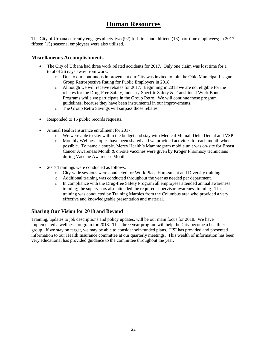# **Human Resources**

The City of Urbana currently engages ninety-two (92) full-time and thirteen (13) part-time employees; in 2017 fifteen (15) seasonal employees were also utilized.

### **Miscellaneous Accomplishments**

- The City of Urbana had three work related accidents for 2017. Only one claim was lost time for a total of 26 days away from work.
	- o Due to our continuous improvement our City was invited to join the Ohio Municipal League Group Retrospective Rating for Public Employers in 2018.
	- o Although we will receive rebates for 2017. Beginning in 2018 we are not eligible for the rebates for the Drug-Free Safety, Industry-Specific Safety & Transitional Work Bonus Programs while we participate in the Group Retro. We will continue those program guidelines, because they have been instrumental in our improvements.
	- o The Group Retro Savings will surpass those rebates.
- Responded to 15 public records requests.
- Annual Health Insurance enrollment for 2017.
	- o We were able to stay within the budget and stay with Medical Mutual, Delta Dental and VSP.
	- o Monthly Wellness topics have been shared and we provided activities for each month when possible. To name a couple, Mercy Health's Mammogram mobile unit was on-site for Breast Cancer Awareness Month & on-site vaccines were given by Kroger Pharmacy technicians during Vaccine Awareness Month.
- 2017 Trainings were conducted as follows.
	- o City-wide sessions were conducted for Work Place Harassment and Diversity training.
	- o Additional training was conducted throughout the year as needed per department.
	- o In compliance with the Drug-free Safety Program all employees attended annual awareness training; the supervisors also attended the required supervisor awareness training. This training was conducted by Training Marbles from the Columbus area who provided a very effective and knowledgeable presentation and material.

### **Sharing Our Vision for 2018 and Beyond**

Training, updates to job descriptions and policy updates, will be our main focus for 2018. We have implemented a wellness program for 2018. This three year program will help the City become a healthier group. If we stay on target, we may be able to consider self-funded plans. USI has provided and presented information to our Health Insurance committee at our quarterly meetings. This wealth of information has been very educational has provided guidance to the committee throughout the year.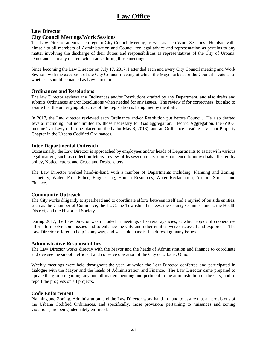# **Law Office**

### **Law Director**

### **City Council Meetings/Work Sessions**

The Law Director attends each regular City Council Meeting, as well as each Work Sessions. He also avails himself to all members of Administration and Council for legal advice and representation as pertains to any matter involving the discharge of their duties and responsibilities as representatives of the City of Urbana, Ohio, and as to any matters which arise during those meetings.

Since becoming the Law Director on July 17, 2017, I attended each and every City Council meeting and Work Session, with the exception of the City Council meeting at which the Mayor asked for the Council's vote as to whether I should be named as Law Director.

### **Ordinances and Resolutions**

The law Director reviews any Ordinances and/or Resolutions drafted by any Department, and also drafts and submits Ordinances and/or Resolutions when needed for any issues. The review if for correctness, but also to assure that the underlying objective of the Legislation is being met by the draft.

In 2017, the Law director reviewed each Ordinance and/or Resolution put before Council. He also drafted several including, but not limited to, those necessary for Gas aggregation, Electric Aggregation, the 6/10% Income Tax Levy (all to be placed on the ballot May 8, 2018), and an Ordinance creating a Vacant Property Chapter in the Urbana Codified Ordinances.

### **Inter-Departmental Outreach**

Occasionally, the Law Director is approached by employees and/or heads of Departments to assist with various legal matters, such as collection letters, review of leases/contracts, correspondence to individuals affected by policy, Notice letters, and Cease and Desist letters.

The Law Director worked hand-in-hand with a number of Departments including, Planning and Zoning, Cemetery, Water, Fire, Police, Engineering, Human Resources, Water Reclamation, Airport, Streets, and Finance.

### **Community Outreach**

The City works diligently to spearhead and to coordinate efforts between itself and a myriad of outside entities, such as the Chamber of Commerce, the LUC, the Township Trustees, the County Commissioners, the Health District, and the Historical Society.

During 2017, the Law Director was included in meetings of several agencies, at which topics of cooperative efforts to resolve some issues and to enhance the City and other entities were discussed and explored. The Law Director offered to help in any way, and was able to assist in addressing many issues.

### **Administrative Responsibilities**

The Law Director works directly with the Mayor and the heads of Administration and Finance to coordinate and oversee the smooth, efficient and cohesive operation of the City of Urbana, Ohio.

Weekly meetings were held throughout the year, at which the Law Director conferred and participated in dialogue with the Mayor and the heads of Administration and Finance. The Law Director came prepared to update the group regarding any and all matters pending and pertinent to the administration of the City, and to report the progress on all projects.

### **Code Enforcement**

Planning and Zoning, Administration, and the Law Director work hand-in-hand to assure that all provisions of the Urbana Codified Ordinances, and specifically, those provisions pertaining to nuisances and zoning violations, are being adequately enforced.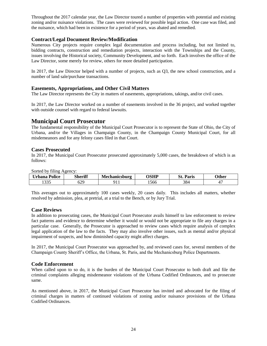Throughout the 2017 calendar year, the Law Director toured a number of properties with potential and existing zoning and/or nuisance violations. The cases were reviewed for possible legal action. One case was filed, and the nuisance, which had been in existence for a period of years, was abated and remedied.

### **Contract/Legal Document Review/Modification**

Numerous City projects require complex legal documentation and process including, but not limited to, bidding contracts, construction and remediation projects, interaction with the Townships and the County, issues involving the Historical society, Community Development, and so forth. Each involves the office of the Law Director, some merely for review, others for more detailed participation.

In 2017, the Law Director helped with a number of projects, such as Q3, the new school construction, and a number of land sale/purchase transactions.

### **Easements, Appropriations, and Other Civil Matters**

The Law Director represents the City in matters of easements, appropriations, takings, and/or civil cases.

In 2017, the Law Director worked on a number of easements involved in the 36 project, and worked together with outside counsel with regard to federal lawsuits.

### **Municipal Court Prosecutor**

The fundamental responsibility of the Municipal Court Prosecutor is to represent the State of Ohio, the City of Urbana, and/or the Villages in Champaign County, in the Champaign County Municipal Court, for all misdemeanors and for any felony cases filed in that Court.

### **Cases Prosecuted**

In 2017, the Municipal Court Prosecutor prosecuted approximately 5,000 cases, the breakdown of which is as follows:

Sorted by filing Agency:

| $\sim$ $\sim$<br>∪rbana<br>Police | <b>Sheriff</b><br>$\sim$ | lechanicsburg | ACUD | C.<br>Paris | <b>)ther</b> |
|-----------------------------------|--------------------------|---------------|------|-------------|--------------|
| 225<br>- - - - -                  | 00:<br>U4.               | . .           | 1566 | 384         |              |

This averages out to approximately 100 cases weekly, 20 cases daily. This includes all matters, whether resolved by admission, plea, at pretrial, at a trial to the Bench, or by Jury Trial.

### **Case Reviews**

In addition to prosecuting cases, the Municipal Court Prosecutor avails himself to law enforcement to review fact patterns and evidence to determine whether it would or would not be appropriate to file any charges in a particular case. Generally, the Prosecutor is approached to review cases which require analysis of complex legal application of the law to the facts. They may also involve other issues, such as mental and/or physical impairment of suspects, and how diminished capacity might affect charges.

In 2017, the Municipal Court Prosecutor was approached by, and reviewed cases for, several members of the Champaign County Sheriff's Office, the Urbana, St. Paris, and the Mechanicsburg Police Departments.

### **Code Enforcement**

When called upon to so do, it is the burden of the Municipal Court Prosecutor to both draft and file the criminal complaints alleging misdemeanor violations of the Urbana Codified Ordinances, and to prosecute same.

As mentioned above, in 2017, the Municipal Court Prosecutor has invited and advocated for the filing of criminal charges in matters of continued violations of zoning and/or nuisance provisions of the Urbana Codified Ordinances.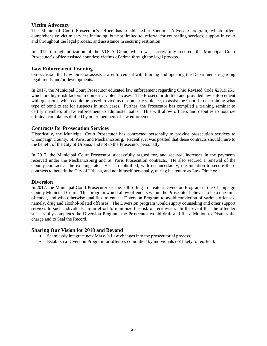### **Victim Advocacy**

The Municipal Court Prosecutor's Office has established a Victim's Advocate program, which offers comprehensive victim services including, but not limited to, referral for counseling services, support in court and throughout the legal process, and assistance in securing restitution.

In 2017, through utilization of the VOCA Grant, which was successfully secured, the Municipal Court Prosecutor's office assisted countless victims of crime through the legal process.

### **Law Enforcement Training**

On occasion, the Law Director assists law enforcement with training and updating the Departments regarding legal trends and/or developments.

In 2017, the Municipal Court Prosecutor educated law enforcement regarding Ohio Revised Code §2919.251, which are high-risk factors in domestic violence cases. The Prosecutor drafted and provided law enforcement with questions, which could be posed to victims of domestic violence, to assist the Court in determining what type of bond to set for suspects in such cases. Further, the Prosecutor has compiled a training seminar to certify members of law enforcement to administer oaths. This will allow officers and deputies to notarize criminal complaints drafted by other members of law enforcement.

### **Contracts for Prosecution Services**

Historically, the Municipal Court Prosecutor has contracted personally to provide prosecution services to Champaign County, St. Paris, and Mechanicsburg. Recently, it was posited that these contracts should inure to the benefit of the City of Urbana, and not to the Prosecutor personally.

In 2017, the Municipal Court Prosecutor successfully argued for, and secured, increases in the payments received under the Mechanicsburg and St. Paris Prosecution contracts. He also secured a renewal of the County contract at the existing rate. He also solidified, with no uncertainty, the intention to secure these contracts to benefit the City of Urbana, and not himself personally, during his tenure as Law Director.

#### **Diversion**

In 2017, the Municipal Court Prosecutor set the ball rolling to create a Diversion Program in the Champaign County Municipal Court. This program would allow offenders whom the Prosecutor believes to be a one-time offender, and who otherwise qualifies, to enter a Diversion Program to avoid conviction of various offenses, namely, drug and alcohol-related offenses. The Diversion program would supply counseling and other support services to such individuals, in an effort to minimize the risk of recidivism. In the event that the offender successfully completes the Diversion Program, the Prosecutor would draft and file a Motion to Dismiss the charge and to Seal the Record.

- Seamlessly integrate new Marsy's Law changes into the prosecutorial process.
- Establish a Diversion Program for offenses committed by individuals not likely to reoffend.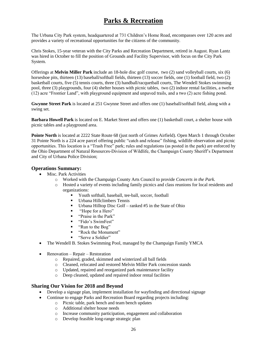# **Parks & Recreation**

The Urbana City Park system, headquartered at 731 Children's Home Road, encompasses over 120 acres and provides a variety of recreational opportunities for the citizens of the community.

Chris Stokes, 15-year veteran with the City Parks and Recreation Department, retired in August. Ryan Lantz was hired in October to fill the position of Grounds and Facility Supervisor, with focus on the City Park System.

Offerings at **Melvin Miller Park** include an 18-hole disc golf course, two (2) sand volleyball courts, six (6) horseshoe pits, thirteen (13) baseball/softball fields, thirteen (13) soccer fields, one (1) football field, two (2) basketball courts, five (5) tennis courts, three (3) handball/racquetball courts, The Wendell Stokes swimming pool, three (3) playgrounds, four (4) shelter houses with picnic tables, two (2) indoor rental facilities, a twelve (12) acre "Frontier Land", with playground equipment and unpaved trails, and a two (2) acre fishing pond.

**Gwynne Street Park** is located at 251 Gwynne Street and offers one (1) baseball/softball field, along with a swing set.

**Barbara Howell Park** is located on E. Market Street and offers one (1) basketball court, a shelter house with picnic tables and a playground area.

**Pointe North** is located at 2222 State Route 68 (just north of Grimes Airfield). Open March 1 through October 31 Pointe North is a 224 acre parcel offering public "catch and release" fishing, wildlife observation and picnic opportunities. This location is a "Trash Free" park; rules and regulations (as posted in the park) are enforced by the Ohio Department of Natural Resources-Division of Wildlife, the Champaign County Sheriff's Department and City of Urbana Police Division;

### **Operations Summary:**

- Misc. Park Activities
	- o Worked with the Champaign County Arts Council to provide *Concerts in the Park.*
	- o Hosted a variety of events including family picnics and class reunions for local residents and organizations:
		- Youth softball, baseball, tee-ball, soccer, football
		- Urbana Hillclimbers Tennis
		- Urbana Hilltop Disc Golf ranked  $#5$  in the State of Ohio
		- "Hope for a Hero"
		- "<sup>Traise in the Park"</sup>
		- "Fido's SwimFest"
		- "Run to the Bog"
		- "Rock the Monument"
		- "Serve a Soldier"
- The Wendell B. Stokes Swimming Pool, managed by the Champaign Family YMCA
- Renovation Repair Restoration
	- o Repaired, graded, skimmed and winterized all ball fields
	- o Cleaned, relocated and restored Melvin Miller Park concession stands
	- o Updated, repaired and reorganized park maintenance facility
	- o Deep cleaned, updated and repaired indoor rental facilities

- Develop a signage plan, implement installation for wayfinding and directional signage
- Continue to engage Parks and Recreation Board regarding projects including:
	- o Picnic table, park bench and team bench updates
	- o Additional shelter house needs
	- o Increase community participation, engagement and collaboration
	- o Develop feasible long-range strategic plan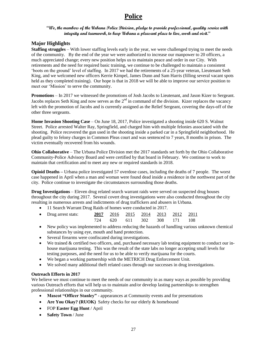# **Police**

### **"We, the members of the Urbana Police Division, pledge to provide professional, quality service with integrity and teamwork, to keep Urbana a pleasant place to live, work and visit."**

### **Major Highlights**

**Staffing struggles** – With lower staffing levels early in the year, we were challenged trying to meet the needs of the community. By the end of the year we were authorized to increase our manpower to 20 officers, a much appreciated change; every new position helps us to maintain peace and order in our City. With retirements and the need for required basic training, we continue to be challenged to maintain a consistent 'boots on the ground' level of staffing. In 2017 we had the retirements of a 25-year veteran, Lieutenant Seth King, and we welcomed new officers Kerrie Kimpel, James Dunn and Sam Harris (filling several vacant spots held as they completed training). Our hope is that in 2018 we will be able to improve our service position to meet our 'Mission' to serve the community.

**Promotions** – In 2017 we witnessed the promotions of Josh Jacobs to Lieutenant, and Jason Kizer to Sergeant. Jacobs replaces Seth King and now serves as the  $2<sup>nd</sup>$  in command of the division. Kizer replaces the vacancy left with the promotion of Jacobs and is currently assigned as the Relief Sergeant, covering the days-off of the other three sergeants.

**Home Invasion Shooting Case** – On June 18, 2017, Police investigated a shooting inside 620 S. Walnut Street. Police arrested Walter Ray, Springfield, and charged him with multiple felonies associated with the shooting. Police recovered the gun used in the shooting inside a parked car in a Springfield neighborhood. He plead guilty to felony charges in Common Pleas court and was sentenced to 7 years, 8 months in prison. The victim eventually recovered from his wounds.

**Ohio Collaborative** – The Urbana Police Division met the 2017 standards set forth by the Ohio Collaborative Community-Police Advisory Board and were certified by that board in February. We continue to work to maintain that certification and to meet any new or required standards in 2018.

**Opioid Deaths –** Urbana police investigated 57 overdose cases, including the deaths of 7 people. The worst case happened in April when a man and woman were found dead inside a residence in the northwest part of the city. Police continue to investigate the circumstances surrounding those deaths.

**Drug Investigations** – Eleven drug related search warrant raids were served on suspected drug houses throughout the city during 2017. Several covert drug investigations were also conducted throughout the city resulting in numerous arrests and indictments of drug traffickers and abusers in Urbana.

• 11 Search Warrant Drug Raids of homes were conducted in 2017.

| • Drug arrest stats: |  |  | 2017 2016 2015 2014 2013 2012 2011 |  |
|----------------------|--|--|------------------------------------|--|
|                      |  |  | 724 620 611 302 308 171 108        |  |

- New policy was implemented to address reducing the hazards of handling various unknown chemical substances by using eye, mouth and hand protection.
- Several firearms were confiscated during investigations.
- We trained & certified two officers, and, purchased necessary lab testing equipment to conduct our inhouse marijuana testing. This was the result of the state labs no longer accepting small levels for testing purposes, and the need for us to be able to verify marijuana for the courts.
- We began a working partnership with the METRICH Drug Enforcement Unit.
- We solved many additional theft related cases through our successes in drug investigations.

### **Outreach Efforts in 2017**

We believe we must continue to meet the needs of our community in as many ways as possible by providing various Outreach efforts that will help us to maintain and/or develop lasting partnerships to strengthen professional relationships in our community.

- **Mascot "Officer Stanley"** appearances at Community events and for presentations
- **Are You Okay? (RUOK)** Safety checks for our elderly & homebound
- FOP **Easter Egg Hunt** / April
- **Safety Town** / June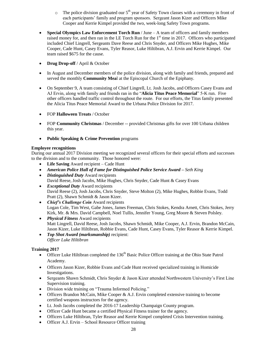- $\circ$  The police division graduated our 5<sup>th</sup> year of Safety Town classes with a ceremony in front of each participants' family and program sponsors. Sergeant Jason Kizer and Officers Mike Cooper and Kerrie Kimpel provided the two, week-long Safety Town programs.
- **Special Olympics Law Enforcement Torch Run** / June A team of officers and family members raised money for, and then ran in the LE Torch Run for the  $1<sup>st</sup>$  time in 2017. Officers who participated included Chief Lingrell, Sergeants Dave Reese and Chris Snyder, and Officers Mike Hughes, Mike Cooper, Cade Hunt, Casey Evans, Tyler Reasor, Luke Hiltibran, A.J. Ervin and Kerrie Kimpel. Our team raised \$675 for the cause.
- **Drug Drop-off** / April & October
- In August and December members of the police division, along with family and friends, prepared and served the monthly **Community Mea**l at the Episcopal Church of the Epiphany.
- On September 9, A team consisting of Chief Lingrell, Lt. Josh Jacobs, and Officers Casey Evans and AJ Ervin, along with family and friends ran in the "**Alicia Titus Peace Memorial**" 5-K run. Five other officers handled traffic control throughout the route. For our efforts, the Titus family presented the Alicia Titus Peace Memorial Award to the Urbana Police Division for 2017.
- FOP **Halloween Treats** / October
- FOP **Community Christmas** / December -- provided Christmas gifts for over 100 Urbana children this year.
- **Public Speaking & Crime Prevention** programs

### **Employee recognitions**

During our annual 2017 Division meeting we recognized several officers for their special efforts and successes to the division and to the community. Those honored were:

- **Life Saving** Award recipient Cade Hunt
- *American Police Hall of Fame for Distinguished Police Service Award – Seth King*
- *Distinguished Duty* Award recipients David Reese, Josh Jacobs, Mike Hughes, Chris Snyder, Cade Hunt & Casey Evans
- *Exceptional Duty* Award recipients David Reese (2), Josh Jacobs, Chris Snyder, Steve Molton (2), Mike Hughes, Robbie Evans, Todd Pratt (2), Shawn Schmidt & Jason Kizer.
- *Chief's Challenge Coin* Award recipients Logan Cole, Tim West, Gabe Jones, James Freeman, Chris Stokes, Kendra Arnett, Chris Stokes, Jerry Kirk, Mr. & Mrs. David Campbell, Noel Tullis, Jennifer Young, Greg Moore & Steven Polsley.
- *Physical Fitness* Award recipients Matt Lingrell, David Reese, Josh Jacobs, Shawn Schmidt, Mike Cooper, A.J. Ervin, Brandon McCain, Jason Kizer, Luke Hiltibran, Robbie Evans, Cade Hunt, Casey Evans, Tyler Reasor & Kerrie Kimpel.
- *Top Shot Award (marksmanship)* recipient: *Officer Luke Hiltibran*

### **Training 2017**

- Officer Luke Hiltibran completed the  $136<sup>th</sup>$  Basic Police Officer training at the Ohio State Patrol Academy.
- Officers Jason Kizer, Robbie Evans and Cade Hunt received specialized training in Homicide Investigations.
- Sergeants Shawn Schmidt, Chris Snyder & Jason Kizer attended Northwestern University's First Line Supervision training.
- Division wide training on "Trauma Informed Policing."
- Officers Brandon McCain, Mike Cooper & A.J. Ervin completed extensive training to become certified weapons instructors for the agency.
- Lt. Josh Jacobs completed the 2016-17 Leadership Champaign County program.
- Officer Cade Hunt became a certified Physical Fitness trainer for the agency.
- Officers Luke Hiltibran, Tyler Reasor and Kerrie Kimpel completed Crisis Intervention training.
- Officer A.J. Ervin School Resource Officer training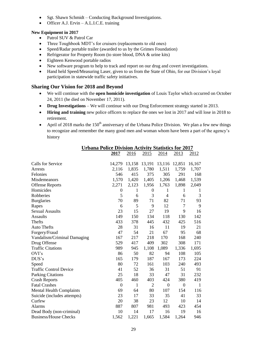- Sgt. Shawn Schmidt Conducting Background Investigations.
- Officer A.J. Ervin A.L.I.C.E. training

### **New Equipment in 2017**

- Patrol SUV & Patrol Car
- Three Toughbook MDT's for cruisers (replacements to old ones)
- Speed/Radar portable trailer (awarded to us by the Grimes Foundation)
- Refrigerator for Property Room (to store blood, DNA & urine kits)
- Eighteen Kenwood portable radios
- New software program to help to track and report on our drug and covert investigations.
- Hand held Speed/Measuring Laser, given to us from the State of Ohio, for our Division's loyal participation in statewide traffic safety initiatives.

- We will continue with the **open homicide investigation** of Louis Taylor which occurred on October 24, 2011 (he died on November 17, 2011).
- **Drug Investigations** We will continue with our Drug Enforcement strategy started in 2013.
- **Hiring and training** new police officers to replace the ones we lost in 2017 and will lose in 2018 to retirement.
- April of 2018 marks the 150<sup>th</sup> anniversary of the Urbana Police Division. We plan a few new things to recognize and remember the many good men and woman whom have been a part of the agency's history

|                                 | <b>Urbana Police Division Activity Statistics for 2017</b> |                      |                  |                      |                  |       |  |  |
|---------------------------------|------------------------------------------------------------|----------------------|------------------|----------------------|------------------|-------|--|--|
|                                 | <u>2017</u>                                                | 2016                 | 2015             | 2014                 | <u>2013</u>      | 2012  |  |  |
|                                 |                                                            |                      |                  |                      |                  |       |  |  |
| Calls for Service               |                                                            | 14,279 13,158 13,191 |                  | 13,116 12,851 16,167 |                  |       |  |  |
| Arrests                         | 2,116                                                      | 1,835                | 1,780            | 1,511                | 1,759            | 1,707 |  |  |
| Felonies                        | 546                                                        | 415                  | 375              | 305                  | 291              | 168   |  |  |
| Misdemeanors                    | 1,570                                                      | 1,420                | 1,405            | 1,206                | 1,468            | 1,539 |  |  |
| <b>Offense Reports</b>          | 2,271                                                      | 2,123                | 1,956            | 1,763                | 1,898            | 2,049 |  |  |
| Homicides                       | $\boldsymbol{0}$                                           | 1                    | $\boldsymbol{0}$ | 1                    | 1                | 1     |  |  |
| Robberies                       | 5                                                          | 6                    | 3                | $\overline{4}$       | 6                | 3     |  |  |
| <b>Burglaries</b>               | 70                                                         | 89                   | 71               | 82                   | 71               | 93    |  |  |
| Rapes                           | 6                                                          | 5                    | 9                | 12                   | 7                | 9     |  |  |
| <b>Sexual Assaults</b>          | 23                                                         | 15                   | 27               | 19                   | 9                | 16    |  |  |
| <b>Assaults</b>                 | 149                                                        | 150                  | 134              | 118                  | 130              | 142   |  |  |
| <b>Thefts</b>                   | 433                                                        | 378                  | 445              | 432                  | 425              | 516   |  |  |
| <b>Auto Thefts</b>              | 28                                                         | 31                   | 16               | 11                   | 19               | 21    |  |  |
| Forgery/Fraud                   | 47                                                         | 54                   | 21               | 67                   | 95               | 68    |  |  |
| Vandalism/Criminal Damaging     | 167                                                        | 217                  | 218              | 170                  | 168              | 240   |  |  |
| Drug Offense                    | 529                                                        | 417                  | 409              | 302                  | 308              | 171   |  |  |
| <b>Traffic Citations</b>        | 989                                                        | 945                  | 1,108            | 1,089                | 1,336            | 1,695 |  |  |
| OVI's                           | 86                                                         | 50                   | 82               | 94                   | 108              | 105   |  |  |
| DUS's                           | 165                                                        | 179                  | 187              | 167                  | 173              | 224   |  |  |
| Speed                           | 80                                                         | 72                   | 161              | 103                  | 240              | 493   |  |  |
| <b>Traffic Control Device</b>   | 41                                                         | 52                   | 36               | 31                   | 51               | 91    |  |  |
| <b>Parking Citations</b>        | 25                                                         | 18                   | 33               | 47                   | 31               | 232   |  |  |
| <b>Crash Reports</b>            | 405                                                        | 460                  | 403              | 424                  | 380              | 419   |  |  |
| <b>Fatal Crashes</b>            | $\boldsymbol{0}$                                           | 1                    | $\overline{2}$   | $\boldsymbol{0}$     | $\boldsymbol{0}$ | 1     |  |  |
| <b>Mental Health Complaints</b> | 69                                                         | 64                   | 80               | 107                  | 154              | 116   |  |  |
| Suicide (includes attempts)     | 23                                                         | 17                   | 33               | 35                   | 41               | 33    |  |  |
| Curfew                          | 20                                                         | 38                   | 23               | 12                   | 10               | 14    |  |  |
| Alarms                          | 887                                                        | 807                  | 981              | 493                  | 423              | 454   |  |  |
| Dead Body (non-criminal)        | 10                                                         | 14                   | 17               | 16                   | 19               | 16    |  |  |
| <b>Business/House Checks</b>    | 1,562                                                      | 1,221                | 1,665            | 1,584                | 1,264            | 946   |  |  |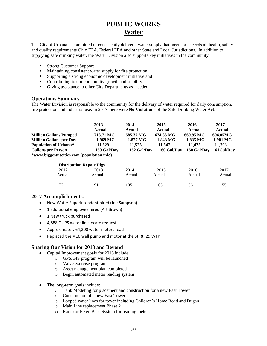# **PUBLIC WORKS Water**

The City of Urbana is committed to consistently deliver a water supply that meets or exceeds all health, safety and quality requirements Ohio EPA, Federal EPA and other State and Local Jurisdictions.. In addition to supplying safe drinking water, the Water Division also supports key initiatives in the community:

- Strong Customer Support
- Maintaining consistent water supply for fire protection
- Supporting a strong economic development initiative and
- Contributing to our community growth and stability.
- Giving assistance to other City Departments as needed.

### **Operations Summary**

The Water Division is responsible to the community for the delivery of water required for daily consumption, fire protection and industrial use. In 2017 there were **No Violations** of the Safe Drinking Water Act.

|                                                                                                                                                                     |                                 | 2013<br>Actual                                 | 2014<br><b>Actual</b>                                      | 2015<br>Actual                                 | 2016<br>Actual                                 | 2017<br><b>Actual</b>                        |  |
|---------------------------------------------------------------------------------------------------------------------------------------------------------------------|---------------------------------|------------------------------------------------|------------------------------------------------------------|------------------------------------------------|------------------------------------------------|----------------------------------------------|--|
| <b>Million Gallons Pumped</b><br><b>Million Gallons per Day</b><br>Population of Urbana*<br><b>Gallons per Person</b><br>*www.biggestuscities.com (population info) |                                 | 718.71 MG<br>1.969 MG<br>11,629<br>169 Gal/Day | 685.37 MG<br>$1.877\,\mathrm{MG}$<br>11,525<br>162 Gal/Day | 674.83 MG<br>1.848 MG<br>11.547<br>160 Gal/Day | 669.95 MG<br>1.835 MG<br>11.425<br>160 Gal/Day | 694.05MG<br>1.901 MG<br>11.793<br>161Gal/Day |  |
|                                                                                                                                                                     | <b>Distribution Repair Digs</b> |                                                |                                                            |                                                |                                                |                                              |  |
|                                                                                                                                                                     | 2012                            | 2013                                           | 2014                                                       | 2015                                           | 2016                                           | 2017                                         |  |
|                                                                                                                                                                     | Actual                          | Actual                                         | Actual                                                     | Actual                                         | Actual                                         | Actual                                       |  |

72 91 105 65 56 55

### **2017 Accomplishments**:

- New Water Superintendent hired (Joe Sampson)
- 1 additional employee hired (Art Brown)
- 1 New truck purchased
- 4,888 OUPS water line locate request
- Approximately 64,200 water meters read
- Replaced the # 10 well pump and motor at the St.Rt. 29 WTP

- Capital Improvement goals for 2018 include:
	- o GPS/GIS program will be launched
	- o Valve exercise program
	- o Asset management plan completed
	- o Begin automated meter reading system
- The long-term goals include:
	- o Tank Modeling for placement and construction for a new East Tower
	- o Construction of a new East Tower
	- o Looped water lines for tower including Children's Home Road and Dugan
	- o Main Line replacement Phase 2
	- o Radio or Fixed Base System for reading meters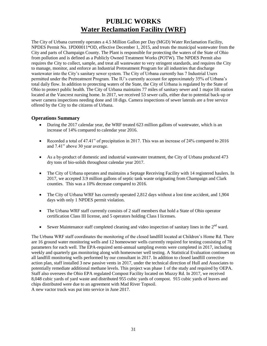# **PUBLIC WORKS Water Reclamation Facility (WRF)**

The City of Urbana currently operates a 4.5 Million Gallon per Day (MGD) Water Reclamation Facility, NPDES Permit No. 1PD00011\*OD, effective December 1, 2015, and treats the municipal wastewater from the City and parts of Champaign County. The Plant is responsible for protecting the waters of the State of Ohio from pollution and is defined as a Publicly Owned Treatment Works (POTW). The NPDES Permit also requires the City to collect, sample, and treat all wastewater to very stringent standards, and requires the City to manage, monitor, and enforce an Industrial Pretreatment Program for all industries that discharge wastewater into the City's sanitary sewer system. The City of Urbana currently has 7 Industrial Users permitted under the Pretreatment Program. The IU's currently account for approximately 35% of Urbana's total daily flow. In addition to protecting waters of the State, the City of Urbana is regulated by the State of Ohio to protect public health. The City of Urbana maintains 77 miles of sanitary sewer and 1 major lift station located at the Vancrest nursing home. In 2017, we received 53 sewer calls, either due to potential back-up or sewer camera inspections needing done and 18 digs. Camera inspections of sewer laterals are a free service offered by the City to the citizens of Urbana.

### **Operations Summary**

- During the 2017 calendar year, the WRF treated 623 million gallons of wastewater, which is an increase of 14% compared to calendar year 2016.
- Recorded a total of 47.41" of precipitation in 2017. This was an increase of 24% compared to 2016 and 7.41" above 30 year average.
- As a by-product of domestic and industrial wastewater treatment, the City of Urbana produced 473 dry tons of bio-solids throughout calendar year 2017.
- The City of Urbana operates and maintains a Septage Receiving Facility with 14 registered haulers. In 2017, we accepted 3.9 million gallons of septic tank waste originating from Champaign and Clark counties. This was a 10% decrease compared to 2016.
- The City of Urbana WRF has currently operated 2,812 days without a lost time accident, and 1,904 days with only 1 NPDES permit violation.
- The Urbana WRF staff currently consists of 2 staff members that hold a State of Ohio operator certification Class III license, and 5 operators holding Class I licenses.
- Sewer Maintenance staff completed cleaning and video inspection of sanitary lines in the  $2<sup>nd</sup>$  ward.

The Urbana WRF staff coordinates the monitoring of the closed landfill located at Children's Home Rd. There are 16 ground water monitoring wells and 12 homeowner wells currently required for testing consisting of 78 parameters for each well. The EPA-required semi-annual sampling events were completed in 2017, including weekly and quarterly gas monitoring along with homeowner well testing. A Statistical Evaluation continues on all landfill monitoring wells performed by our consultant in 2017. In addition to closed landfill corrective action plan, staff installed 3 new passive vents in 2017, under the technical direction of Hull and Associates to potentially remediate additional methane levels. This project was phase 1 of the study and required by OEPA. Staff also oversees the Ohio EPA regulated Compost Facility located on Muzzy Rd. In 2017, we received 8,048 cubic yards of yard waste and distributed 955 cubic yards of compost. 915 cubic yards of leaves and chips distributed were due to an agreement with Mad River Topsoil. A new vactor truck was put into service in June 2017.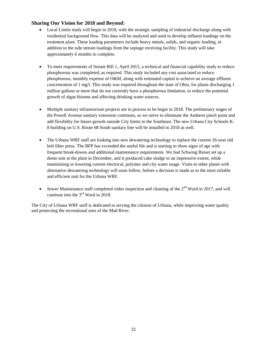### **Sharing Our Vision for 2018 and Beyond:**

- Local Limits study will begin in 2018, with the strategic sampling of industrial discharge along with residential background flow. This data will be analyzed and used to develop influent loadings on the treatment plant. These loading parameters include heavy metals, solids, and organic loading, in addition to the side stream loadings from the septage receiving facility. This study will take approximately 6 months to complete.
- To meet requirements of Senate Bill 1, April 2015, a technical and financial capability study to reduce phosphorous was completed, as required. This study included any cost associated to reduce phosphorous, monthly expense of O&M, along with estimated capital to achieve an average effluent concentration of 1 mg/l. This study was required throughout the state of Ohio, for plants discharging 1 million gallons or more that do not currently have a phosphorous limitation, to reduce the potential growth of algae blooms and affecting drinking water sources.
- Multiple sanitary infrastructure projects are in process to be begin in 2018. The preliminary stages of the Powell Avenue sanitary extension continues, as we strive to eliminate the Amherst pinch point and add flexibility for future growth outside City limits to the Southeast. The new Urbana City Schools K-8 building on U.S. Route 68 South sanitary line will be installed in 2018 as well.
- The Urbana WRF staff are looking into new dewatering technology to replace the current 26-year old belt filter press. The BFP has exceeded the useful life and is starting to show signs of age with frequent break-downs and additional maintenance requirements. We had Schwing Bioset set up a demo unit at the plant in December, and it produced cake sludge to an impressive extent, while maintaining or lowering current electrical, polymer and city water usage. Visits to other plants with alternative dewatering technology will soon follow, before a decision is made as to the most reliable and efficient unit for the Urbana WRF.
- Sewer Maintenance staff completed video inspection and cleaning of the  $2^{nd}$  Ward in 2017, and will continue into the  $3<sup>rd</sup>$  Ward in 2018.

The City of Urbana WRF staff is dedicated to serving the citizens of Urbana, while improving water quality and protecting the recreational uses of the Mad River.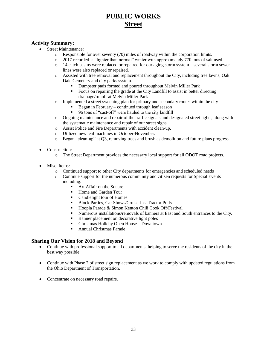# **PUBLIC WORKS Street**

### **Activity Summary:**

- Street Maintenance:
	- o Responsible for over seventy (70) miles of roadway within the corporation limits.
	- o 2017 recorded a "lighter than normal" winter with approximately 770 tons of salt used
	- o 14 catch basins were replaced or repaired for our aging storm system several storm sewer lines were also replaced or repaired.
	- o Assisted with tree removal and replacement throughout the City, including tree lawns, Oak Dale Cemetery and city parks system.
		- Dumpster pads formed and poured throughout Melvin Miller Park
		- Focus on repairing the grade at the City Landfill to assist in better directing drainage/runoff at Melvin Miller Park
	- o Implemented a street sweeping plan for primary and secondary routes within the city
		- Began in February continued through leaf season
		- 96 tons of "cast-off" were hauled to the city landfill
	- o Ongoing maintenance and repair of the traffic signals and designated street lights, along with the systematic maintenance and repair of our street signs.
	- o Assist Police and Fire Departments with accident clean-up.
	- o Utilized new leaf machines in October-November.
	- o Began "clean-up" at Q3, removing trees and brush as demolition and future plans progress.
- Construction:
	- o The Street Department provides the necessary local support for all ODOT road projects.
- Misc. Items:
	- o Continued support to other City departments for emergencies and scheduled needs
	- o Continue support for the numerous community and citizen requests for Special Events including:
		- **Art Affair on the Square**
		- Home and Garden Tour
		- Candlelight tour of Homes
		- Block Parties, Car Shows/Cruise-Ins, Tractor Pulls
		- Hoopla Parade & Simon Kenton Chili Cook Off/Festival
		- Numerous installations/removals of banners at East and South entrances to the City.
		- **Banner placement on decorative light poles**
		- Christmas Holiday Open House Downtown
		- **Annual Christmas Parade**

- Continue with professional support to all departments, helping to serve the residents of the city in the best way possible.
- Continue with Phase 2 of street sign replacement as we work to comply with updated regulations from the Ohio Department of Transportation.
- Concentrate on necessary road repairs.